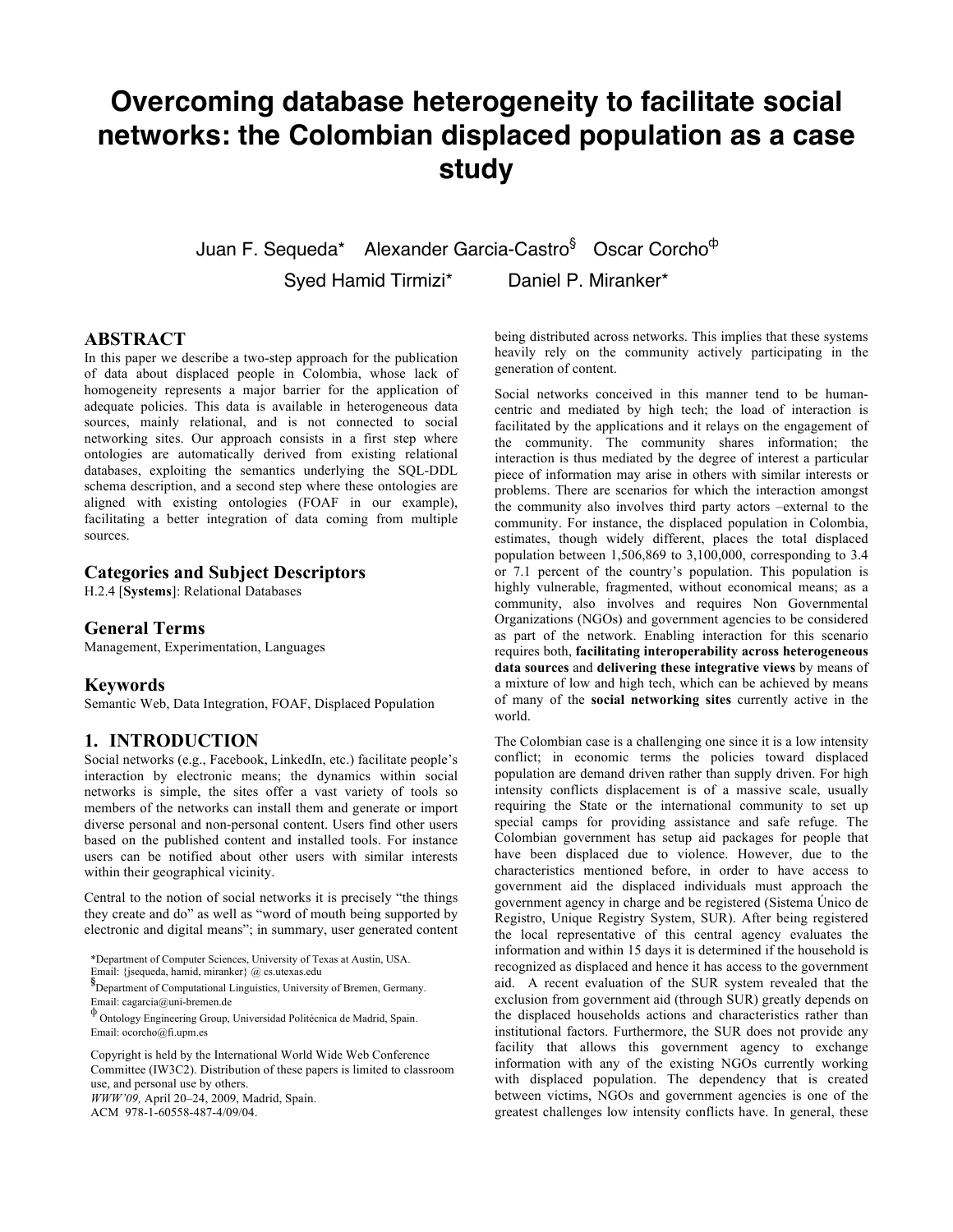# **Overcoming database heterogeneity to facilitate social networks: the Colombian displaced population as a case study**

Juan F. Sequeda\* Alexander Garcia-Castro<sup>§</sup> Oscar Corcho<sup>¢</sup>

Syed Hamid Tirmizi\* Daniel P. Miranker\*

# **ABSTRACT**

In this paper we describe a two-step approach for the publication of data about displaced people in Colombia, whose lack of homogeneity represents a major barrier for the application of adequate policies. This data is available in heterogeneous data sources, mainly relational, and is not connected to social networking sites. Our approach consists in a first step where ontologies are automatically derived from existing relational databases, exploiting the semantics underlying the SQL-DDL schema description, and a second step where these ontologies are aligned with existing ontologies (FOAF in our example), facilitating a better integration of data coming from multiple sources.

# **Categories and Subject Descriptors**

H.2.4 [**Systems**]: Relational Databases

### **General Terms**

Management, Experimentation, Languages

#### **Keywords**

Semantic Web, Data Integration, FOAF, Displaced Population

## **1. INTRODUCTION**

Social networks (e.g., Facebook, LinkedIn, etc.) facilitate people's interaction by electronic means; the dynamics within social networks is simple, the sites offer a vast variety of tools so members of the networks can install them and generate or import diverse personal and non-personal content. Users find other users based on the published content and installed tools. For instance users can be notified about other users with similar interests within their geographical vicinity.

Central to the notion of social networks it is precisely "the things they create and do" as well as "word of mouth being supported by electronic and digital means"; in summary, user generated content

\*Department of Computer Sciences, University of Texas at Austin, USA.

**§** Department of Computational Linguistics, University of Bremen, Germany. Email: cagarcia@uni-bremen.de

Copyright is held by the International World Wide Web Conference Committee (IW3C2). Distribution of these papers is limited to classroom use, and personal use by others. *WWW'09,* April 20–24, 2009, Madrid, Spain.

ACM 978-1-60558-487-4/09/04.

being distributed across networks. This implies that these systems heavily rely on the community actively participating in the generation of content.

Social networks conceived in this manner tend to be humancentric and mediated by high tech; the load of interaction is facilitated by the applications and it relays on the engagement of the community. The community shares information; the interaction is thus mediated by the degree of interest a particular piece of information may arise in others with similar interests or problems. There are scenarios for which the interaction amongst the community also involves third party actors –external to the community. For instance, the displaced population in Colombia, estimates, though widely different, places the total displaced population between 1,506,869 to 3,100,000, corresponding to 3.4 or 7.1 percent of the country's population. This population is highly vulnerable, fragmented, without economical means; as a community, also involves and requires Non Governmental Organizations (NGOs) and government agencies to be considered as part of the network. Enabling interaction for this scenario requires both, **facilitating interoperability across heterogeneous data sources** and **delivering these integrative views** by means of a mixture of low and high tech, which can be achieved by means of many of the **social networking sites** currently active in the world.

The Colombian case is a challenging one since it is a low intensity conflict; in economic terms the policies toward displaced population are demand driven rather than supply driven. For high intensity conflicts displacement is of a massive scale, usually requiring the State or the international community to set up special camps for providing assistance and safe refuge. The Colombian government has setup aid packages for people that have been displaced due to violence. However, due to the characteristics mentioned before, in order to have access to government aid the displaced individuals must approach the government agency in charge and be registered (Sistema Único de Registro, Unique Registry System, SUR). After being registered the local representative of this central agency evaluates the information and within 15 days it is determined if the household is recognized as displaced and hence it has access to the government aid. A recent evaluation of the SUR system revealed that the exclusion from government aid (through SUR) greatly depends on the displaced households actions and characteristics rather than institutional factors. Furthermore, the SUR does not provide any facility that allows this government agency to exchange information with any of the existing NGOs currently working with displaced population. The dependency that is created between victims, NGOs and government agencies is one of the greatest challenges low intensity conflicts have. In general, these

Email: {jsequeda, hamid, miranker} @ cs.utexas.edu

<sup>!</sup> Ontology Engineering Group, Universidad Politécnica de Madrid, Spain. Email: ocorcho@fi.upm.es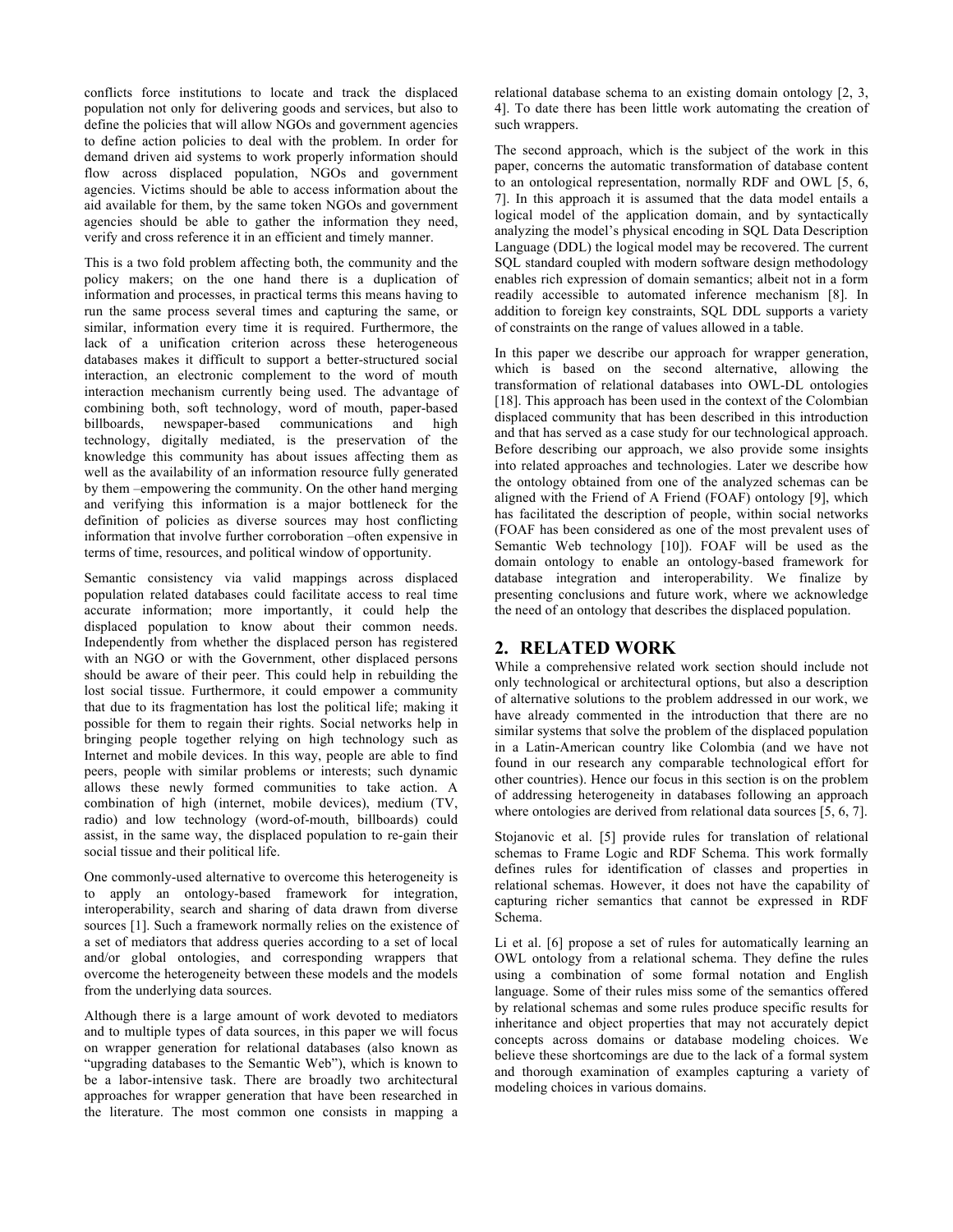conflicts force institutions to locate and track the displaced population not only for delivering goods and services, but also to define the policies that will allow NGOs and government agencies to define action policies to deal with the problem. In order for demand driven aid systems to work properly information should flow across displaced population, NGOs and government agencies. Victims should be able to access information about the aid available for them, by the same token NGOs and government agencies should be able to gather the information they need, verify and cross reference it in an efficient and timely manner.

This is a two fold problem affecting both, the community and the policy makers; on the one hand there is a duplication of information and processes, in practical terms this means having to run the same process several times and capturing the same, or similar, information every time it is required. Furthermore, the lack of a unification criterion across these heterogeneous databases makes it difficult to support a better-structured social interaction, an electronic complement to the word of mouth interaction mechanism currently being used. The advantage of combining both, soft technology, word of mouth, paper-based billboards, newspaper-based communications and high technology, digitally mediated, is the preservation of the knowledge this community has about issues affecting them as well as the availability of an information resource fully generated by them –empowering the community. On the other hand merging and verifying this information is a major bottleneck for the definition of policies as diverse sources may host conflicting information that involve further corroboration –often expensive in terms of time, resources, and political window of opportunity.

Semantic consistency via valid mappings across displaced population related databases could facilitate access to real time accurate information; more importantly, it could help the displaced population to know about their common needs. Independently from whether the displaced person has registered with an NGO or with the Government, other displaced persons should be aware of their peer. This could help in rebuilding the lost social tissue. Furthermore, it could empower a community that due to its fragmentation has lost the political life; making it possible for them to regain their rights. Social networks help in bringing people together relying on high technology such as Internet and mobile devices. In this way, people are able to find peers, people with similar problems or interests; such dynamic allows these newly formed communities to take action. A combination of high (internet, mobile devices), medium (TV, radio) and low technology (word-of-mouth, billboards) could assist, in the same way, the displaced population to re-gain their social tissue and their political life.

One commonly-used alternative to overcome this heterogeneity is to apply an ontology-based framework for integration, interoperability, search and sharing of data drawn from diverse sources [1]. Such a framework normally relies on the existence of a set of mediators that address queries according to a set of local and/or global ontologies, and corresponding wrappers that overcome the heterogeneity between these models and the models from the underlying data sources.

Although there is a large amount of work devoted to mediators and to multiple types of data sources, in this paper we will focus on wrapper generation for relational databases (also known as "upgrading databases to the Semantic Web"), which is known to be a labor-intensive task. There are broadly two architectural approaches for wrapper generation that have been researched in the literature. The most common one consists in mapping a

relational database schema to an existing domain ontology [2, 3, 4]. To date there has been little work automating the creation of such wrappers.

The second approach, which is the subject of the work in this paper, concerns the automatic transformation of database content to an ontological representation, normally RDF and OWL [5, 6, 7]. In this approach it is assumed that the data model entails a logical model of the application domain, and by syntactically analyzing the model's physical encoding in SQL Data Description Language (DDL) the logical model may be recovered. The current SQL standard coupled with modern software design methodology enables rich expression of domain semantics; albeit not in a form readily accessible to automated inference mechanism [8]. In addition to foreign key constraints, SQL DDL supports a variety of constraints on the range of values allowed in a table.

In this paper we describe our approach for wrapper generation, which is based on the second alternative, allowing the transformation of relational databases into OWL-DL ontologies [18]. This approach has been used in the context of the Colombian displaced community that has been described in this introduction and that has served as a case study for our technological approach. Before describing our approach, we also provide some insights into related approaches and technologies. Later we describe how the ontology obtained from one of the analyzed schemas can be aligned with the Friend of A Friend (FOAF) ontology [9], which has facilitated the description of people, within social networks (FOAF has been considered as one of the most prevalent uses of Semantic Web technology [10]). FOAF will be used as the domain ontology to enable an ontology-based framework for database integration and interoperability. We finalize by presenting conclusions and future work, where we acknowledge the need of an ontology that describes the displaced population.

## **2. RELATED WORK**

While a comprehensive related work section should include not only technological or architectural options, but also a description of alternative solutions to the problem addressed in our work, we have already commented in the introduction that there are no similar systems that solve the problem of the displaced population in a Latin-American country like Colombia (and we have not found in our research any comparable technological effort for other countries). Hence our focus in this section is on the problem of addressing heterogeneity in databases following an approach where ontologies are derived from relational data sources [5, 6, 7].

Stojanovic et al. [5] provide rules for translation of relational schemas to Frame Logic and RDF Schema. This work formally defines rules for identification of classes and properties in relational schemas. However, it does not have the capability of capturing richer semantics that cannot be expressed in RDF Schema.

Li et al. [6] propose a set of rules for automatically learning an OWL ontology from a relational schema. They define the rules using a combination of some formal notation and English language. Some of their rules miss some of the semantics offered by relational schemas and some rules produce specific results for inheritance and object properties that may not accurately depict concepts across domains or database modeling choices. We believe these shortcomings are due to the lack of a formal system and thorough examination of examples capturing a variety of modeling choices in various domains.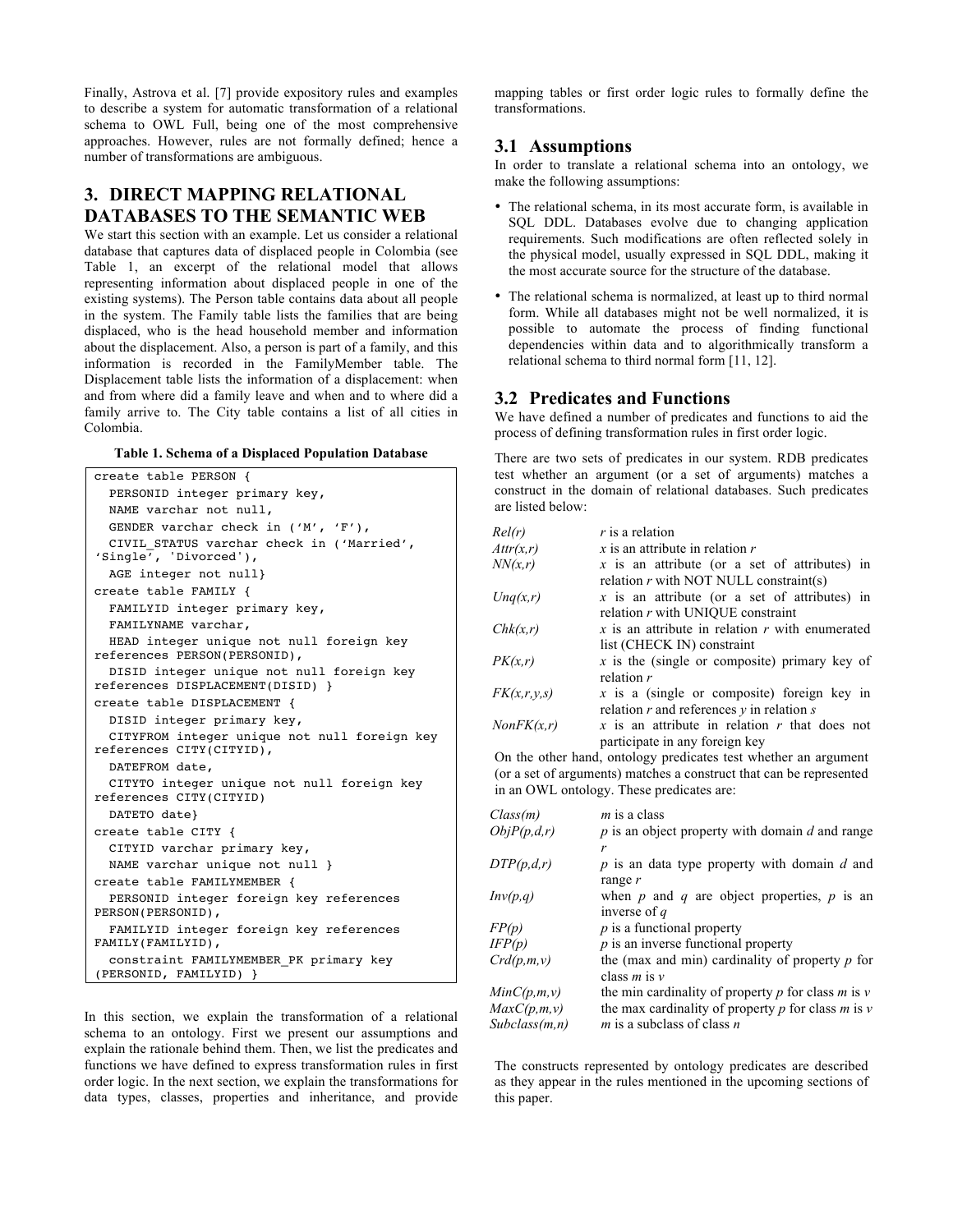Finally, Astrova et al. [7] provide expository rules and examples to describe a system for automatic transformation of a relational schema to OWL Full, being one of the most comprehensive approaches. However, rules are not formally defined; hence a number of transformations are ambiguous.

# **3. DIRECT MAPPING RELATIONAL DATABASES TO THE SEMANTIC WEB**

We start this section with an example. Let us consider a relational database that captures data of displaced people in Colombia (see Table 1, an excerpt of the relational model that allows representing information about displaced people in one of the existing systems). The Person table contains data about all people in the system. The Family table lists the families that are being displaced, who is the head household member and information about the displacement. Also, a person is part of a family, and this information is recorded in the FamilyMember table. The Displacement table lists the information of a displacement: when and from where did a family leave and when and to where did a family arrive to. The City table contains a list of all cities in Colombia.

| Table 1. Schema of a Displaced Population Database |  |  |  |  |  |  |  |
|----------------------------------------------------|--|--|--|--|--|--|--|
|----------------------------------------------------|--|--|--|--|--|--|--|

| create table PERSON {                                                         |  |  |  |  |
|-------------------------------------------------------------------------------|--|--|--|--|
| PERSONID integer primary key,                                                 |  |  |  |  |
| NAME varchar not null,                                                        |  |  |  |  |
| GENDER varchar check in ('M', 'F'),                                           |  |  |  |  |
| CIVIL STATUS varchar check in ('Married',                                     |  |  |  |  |
| 'Single', 'Divorced'),                                                        |  |  |  |  |
| AGE integer not null}                                                         |  |  |  |  |
| create table FAMILY {                                                         |  |  |  |  |
| FAMILYID integer primary key,                                                 |  |  |  |  |
| FAMILYNAME varchar,                                                           |  |  |  |  |
| HEAD integer unique not null foreign key                                      |  |  |  |  |
| references PERSON(PERSONID),                                                  |  |  |  |  |
| DISID integer unique not null foreign key<br>references DISPLACEMENT(DISID) } |  |  |  |  |
|                                                                               |  |  |  |  |
| Create table DISPLACEMENT {                                                   |  |  |  |  |
| DISID integer primary key,                                                    |  |  |  |  |
| CITYFROM integer unique not null foreign key<br>references CITY(CITYID),      |  |  |  |  |
| DATEFROM date,                                                                |  |  |  |  |
| CITYTO integer unique not null foreign key                                    |  |  |  |  |
| references CITY(CITYID)                                                       |  |  |  |  |
| DATETO date}                                                                  |  |  |  |  |
| create table CITY {                                                           |  |  |  |  |
| CITYID varchar primary key,                                                   |  |  |  |  |
| NAME varchar unique not null }                                                |  |  |  |  |
| create table FAMILYMEMBER {                                                   |  |  |  |  |
| PERSONID integer foreign key references                                       |  |  |  |  |
| PERSON(PERSONID),                                                             |  |  |  |  |
| FAMILYID integer foreign key references<br>FAMILY (FAMILYID),                 |  |  |  |  |
| constraint FAMILYMEMBER PK primary key                                        |  |  |  |  |
| (PERSONID, FAMILYID) }                                                        |  |  |  |  |

In this section, we explain the transformation of a relational schema to an ontology. First we present our assumptions and explain the rationale behind them. Then, we list the predicates and functions we have defined to express transformation rules in first order logic. In the next section, we explain the transformations for data types, classes, properties and inheritance, and provide

mapping tables or first order logic rules to formally define the transformations.

# **3.1 Assumptions**

In order to translate a relational schema into an ontology, we make the following assumptions:

- The relational schema, in its most accurate form, is available in SQL DDL. Databases evolve due to changing application requirements. Such modifications are often reflected solely in the physical model, usually expressed in SQL DDL, making it the most accurate source for the structure of the database.
- The relational schema is normalized, at least up to third normal form. While all databases might not be well normalized, it is possible to automate the process of finding functional dependencies within data and to algorithmically transform a relational schema to third normal form [11, 12].

# **3.2 Predicates and Functions**

We have defined a number of predicates and functions to aid the process of defining transformation rules in first order logic.

There are two sets of predicates in our system. RDB predicates test whether an argument (or a set of arguments) matches a construct in the domain of relational databases. Such predicates are listed below:

| Rel(r)      | $r$ is a relation                                                                                |
|-------------|--------------------------------------------------------------------------------------------------|
| Attr(x,r)   | $x$ is an attribute in relation $r$                                                              |
| NN(x,r)     | x is an attribute (or a set of attributes) in<br>relation $r$ with NOT NULL constraint(s)        |
| Unq(x,r)    | x is an attribute (or a set of attributes) in<br>relation $r$ with UNIQUE constraint             |
| Chk(x,r)    | x is an attribute in relation $r$ with enumerated<br>list (CHECK IN) constraint                  |
| PK(x,r)     | x is the (single or composite) primary key of<br>relation $r$                                    |
| FK(x,r,y,s) | $x$ is a (single or composite) foreign key in<br>relation $r$ and references $y$ in relation $s$ |
| NonFK(x,r)  | x is an attribute in relation $r$ that does not<br>participate in any foreign key                |

On the other hand, ontology predicates test whether an argument (or a set of arguments) matches a construct that can be represented in an OWL ontology. These predicates are:

| Class(m)       | $m$ is a class                                         |  |
|----------------|--------------------------------------------------------|--|
| ObjP(p,d,r)    | $p$ is an object property with domain $d$ and range    |  |
|                |                                                        |  |
| DTP(p,d,r)     | $p$ is an data type property with domain $d$ and       |  |
|                | range $r$                                              |  |
| Inv(p,q)       | when $p$ and $q$ are object properties, $p$ is an      |  |
|                | inverse of $q$                                         |  |
| FP(p)          | $p$ is a functional property                           |  |
| IFP(p)         | $p$ is an inverse functional property                  |  |
| Crd(p,m,v)     | the (max and min) cardinality of property $p$ for      |  |
|                | class $m$ is $v$                                       |  |
| MinC(p,m,v)    | the min cardinality of property p for class $m$ is $v$ |  |
| MaxC(p,m,v)    | the max cardinality of property p for class m is $\nu$ |  |
| Subclass(m, n) | <i>m</i> is a subclass of class <i>n</i>               |  |

The constructs represented by ontology predicates are described as they appear in the rules mentioned in the upcoming sections of this paper.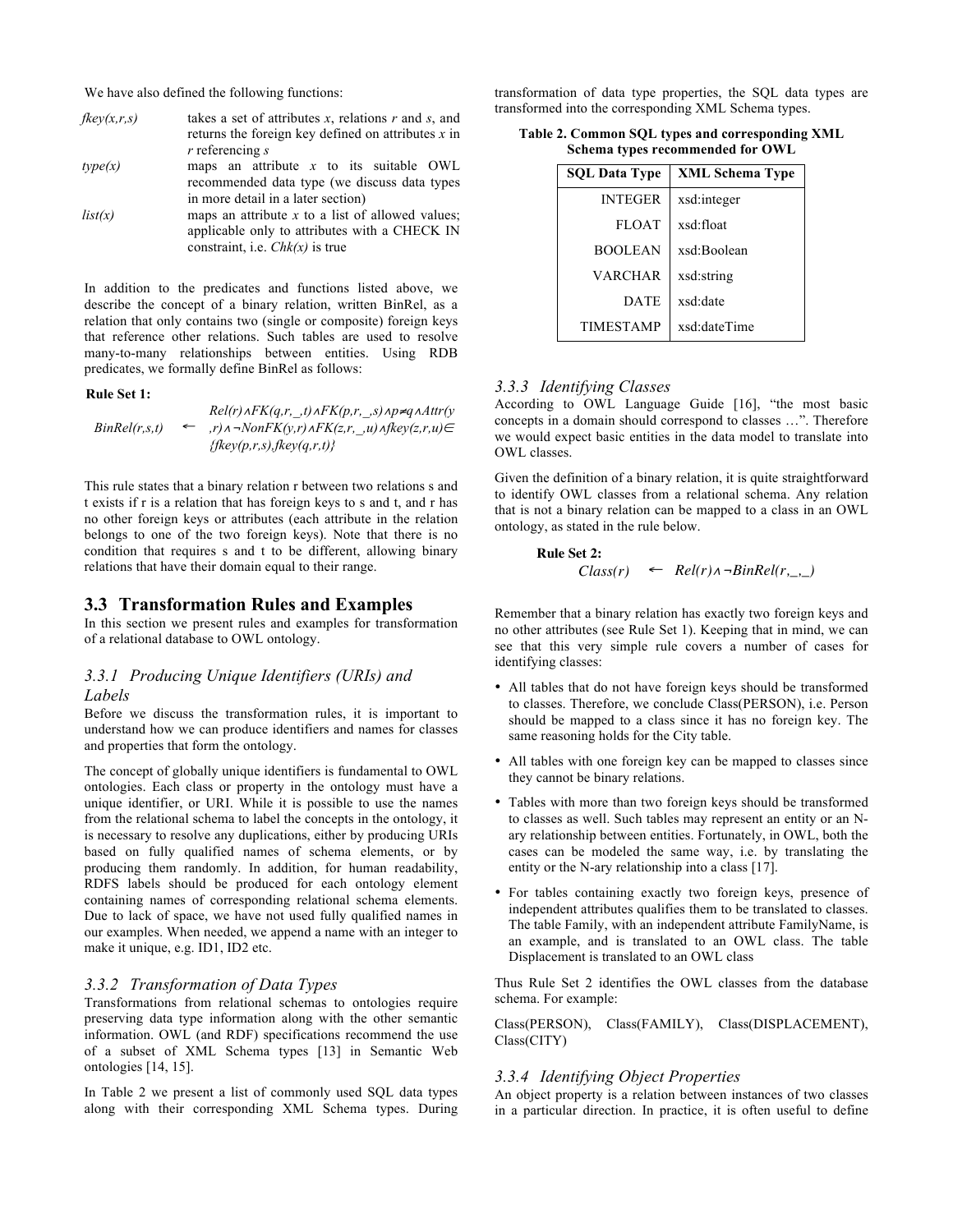We have also defined the following functions:

| fkey(x,r,s) | takes a set of attributes x, relations $r$ and s, and |
|-------------|-------------------------------------------------------|
|             | returns the foreign key defined on attributes $x$ in  |
|             | $r$ referencing $s$                                   |
| type(x)     | maps an attribute $x$ to its suitable OWL             |
|             | recommended data type (we discuss data types          |
|             | in more detail in a later section)                    |
| list(x)     | maps an attribute $x$ to a list of allowed values;    |
|             | applicable only to attributes with a CHECK IN         |
|             | constraint, i.e. $Chk(x)$ is true                     |

In addition to the predicates and functions listed above, we describe the concept of a binary relation, written BinRel, as a relation that only contains two (single or composite) foreign keys that reference other relations. Such tables are used to resolve many-to-many relationships between entities. Using RDB predicates, we formally define BinRel as follows:

#### **Rule Set 1:**

*BinRel(r,s,t)* !  $Rel(r) \triangle FK(q,r,\_,t) \triangle FK(p,r,\_,s) \triangle p \neq q \triangle A$ ttr(y  $\leftarrow$ , r) $\land \neg \text{NonFK}(y,r) \land \text{FK}(z,r, \mu) \land \text{fkey}(z,r,u) \in$ *{fkey(p,r,s),fkey(q,r,t)}*

This rule states that a binary relation r between two relations s and t exists if r is a relation that has foreign keys to s and t, and r has no other foreign keys or attributes (each attribute in the relation belongs to one of the two foreign keys). Note that there is no condition that requires s and t to be different, allowing binary relations that have their domain equal to their range.

## **3.3 Transformation Rules and Examples**

In this section we present rules and examples for transformation of a relational database to OWL ontology.

## *3.3.1 Producing Unique Identifiers (URIs) and Labels*

Before we discuss the transformation rules, it is important to understand how we can produce identifiers and names for classes and properties that form the ontology.

The concept of globally unique identifiers is fundamental to OWL ontologies. Each class or property in the ontology must have a unique identifier, or URI. While it is possible to use the names from the relational schema to label the concepts in the ontology, it is necessary to resolve any duplications, either by producing URIs based on fully qualified names of schema elements, or by producing them randomly. In addition, for human readability, RDFS labels should be produced for each ontology element containing names of corresponding relational schema elements. Due to lack of space, we have not used fully qualified names in our examples. When needed, we append a name with an integer to make it unique, e.g. ID1, ID2 etc.

#### *3.3.2 Transformation of Data Types*

Transformations from relational schemas to ontologies require preserving data type information along with the other semantic information. OWL (and RDF) specifications recommend the use of a subset of XML Schema types [13] in Semantic Web ontologies [14, 15].

In Table 2 we present a list of commonly used SQL data types along with their corresponding XML Schema types. During transformation of data type properties, the SQL data types are transformed into the corresponding XML Schema types.

| Table 2. Common SQL types and corresponding XML |  |
|-------------------------------------------------|--|
| Schema types recommended for OWL                |  |

| <b>SQL Data Type</b> | <b>XML Schema Type</b> |
|----------------------|------------------------|
| <b>INTEGER</b>       | xsd:integer            |
| <b>FLOAT</b>         | xsd:float              |
| <b>BOOLEAN</b>       | xsd:Boolean            |
| <b>VARCHAR</b>       | xsd:string             |
| <b>DATE</b>          | xsd:date               |
| <b>TIMESTAMP</b>     | xsd:dateTime           |

## *3.3.3 Identifying Classes*

According to OWL Language Guide [16], "the most basic concepts in a domain should correspond to classes …". Therefore we would expect basic entities in the data model to translate into OWL classes.

Given the definition of a binary relation, it is quite straightforward to identify OWL classes from a relational schema. Any relation that is not a binary relation can be mapped to a class in an OWL ontology, as stated in the rule below.

**Rule Set 2:**

$$
Class(r) \leftarrow Rel(r) \land \neg BinRel(r, \_, \_)
$$

Remember that a binary relation has exactly two foreign keys and no other attributes (see Rule Set 1). Keeping that in mind, we can see that this very simple rule covers a number of cases for identifying classes:

- All tables that do not have foreign keys should be transformed to classes. Therefore, we conclude Class(PERSON), i.e. Person should be mapped to a class since it has no foreign key. The same reasoning holds for the City table.
- All tables with one foreign key can be mapped to classes since they cannot be binary relations.
- Tables with more than two foreign keys should be transformed to classes as well. Such tables may represent an entity or an Nary relationship between entities. Fortunately, in OWL, both the cases can be modeled the same way, i.e. by translating the entity or the N-ary relationship into a class [17].
- For tables containing exactly two foreign keys, presence of independent attributes qualifies them to be translated to classes. The table Family, with an independent attribute FamilyName, is an example, and is translated to an OWL class. The table Displacement is translated to an OWL class

Thus Rule Set 2 identifies the OWL classes from the database schema. For example:

Class(PERSON), Class(FAMILY), Class(DISPLACEMENT), Class(CITY)

## *3.3.4 Identifying Object Properties*

An object property is a relation between instances of two classes in a particular direction. In practice, it is often useful to define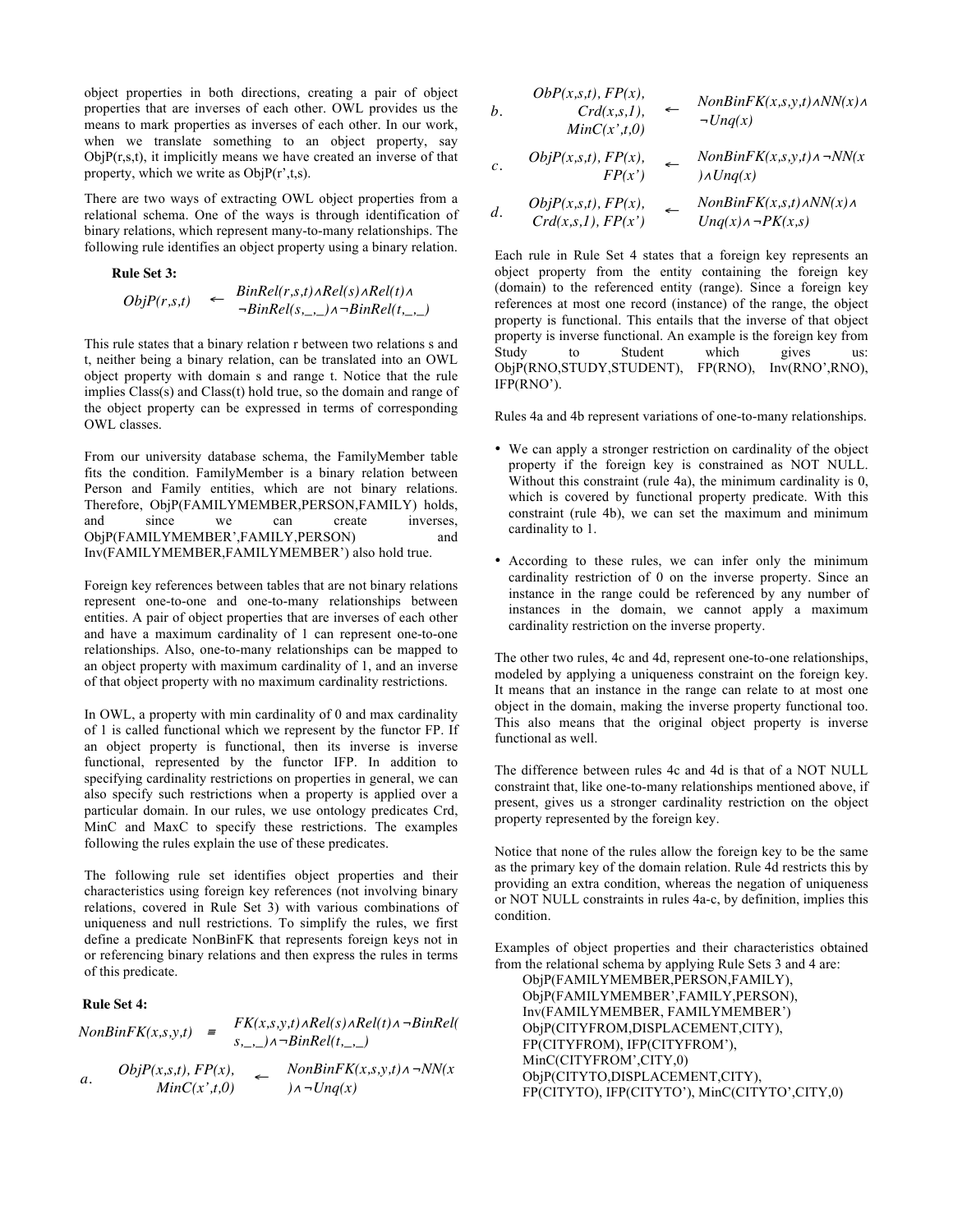object properties in both directions, creating a pair of object properties that are inverses of each other. OWL provides us the means to mark properties as inverses of each other. In our work, when we translate something to an object property, say  $ObjP(r,s,t)$ , it implicitly means we have created an inverse of that property, which we write as  $ObjP(r^{\prime},t,s)$ .

There are two ways of extracting OWL object properties from a relational schema. One of the ways is through identification of binary relations, which represent many-to-many relationships. The following rule identifies an object property using a binary relation.

#### **Rule Set 3:**

$$
ObjP(r,s,t) \leftarrow \begin{array}{l} BinRel(r,s,t) \land Rel(s) \land Rel(t) \land \\ \neg BinRel(s,\_,\_) \land \neg BinRel(t,\_,\_) \end{array}
$$

This rule states that a binary relation r between two relations s and t, neither being a binary relation, can be translated into an OWL object property with domain s and range t. Notice that the rule implies Class(s) and Class(t) hold true, so the domain and range of the object property can be expressed in terms of corresponding OWL classes.

From our university database schema, the FamilyMember table fits the condition. FamilyMember is a binary relation between Person and Family entities, which are not binary relations. Therefore, ObjP(FAMILYMEMBER,PERSON,FAMILY) holds, and since we can create inverses, ObjP(FAMILYMEMBER',FAMILY,PERSON) and Inv(FAMILYMEMBER,FAMILYMEMBER') also hold true.

Foreign key references between tables that are not binary relations represent one-to-one and one-to-many relationships between entities. A pair of object properties that are inverses of each other and have a maximum cardinality of 1 can represent one-to-one relationships. Also, one-to-many relationships can be mapped to an object property with maximum cardinality of 1, and an inverse of that object property with no maximum cardinality restrictions.

In OWL, a property with min cardinality of 0 and max cardinality of 1 is called functional which we represent by the functor FP. If an object property is functional, then its inverse is inverse functional, represented by the functor IFP. In addition to specifying cardinality restrictions on properties in general, we can also specify such restrictions when a property is applied over a particular domain. In our rules, we use ontology predicates Crd, MinC and MaxC to specify these restrictions. The examples following the rules explain the use of these predicates.

The following rule set identifies object properties and their characteristics using foreign key references (not involving binary relations, covered in Rule Set 3) with various combinations of uniqueness and null restrictions. To simplify the rules, we first define a predicate NonBinFK that represents foreign keys not in or referencing binary relations and then express the rules in terms of this predicate.

## **Rule Set 4:**

 $NonBinFK(x,s,y,t) = \frac{FK(x,s,y,t) \land Rel(s) \land Rel(t) \land \neg BinRel(t)}{P(X,s,y,t)}$ *s,\_,\_)*"*¬BinRel(t,\_,\_) a.*  $ObjP(x,s,t), FP(x),$ <br> $MinC(x^{\prime},t,0)$  $\leftarrow$  *NonBinFK(x,s,y,t)* $\land \neg NN(x)$  $\lambda \neg Unq(x)$ 

$$
ObP(x,s,t), FP(x),
$$
  
\n
$$
Crd(x,s,1), \leftarrow \text{NonBinFK}(x,s,y,t) \land NN(x) \land \text{MinC}(x',t,0)
$$

*c.* 
$$
ObjP(x,s,t), FP(x),
$$
  $\leftarrow$   $NonBinFK(x,s,y,t) \land \neg NN(x, FP(x')) \land Unq(x)$ 

d. 
$$
ObjP(x,s,t), FP(x),
$$
  
\n $Crd(x,s,t), FP(x')$   
\n $Unq(x) \land \neg PK(x,s)$ 

Each rule in Rule Set 4 states that a foreign key represents an object property from the entity containing the foreign key (domain) to the referenced entity (range). Since a foreign key references at most one record (instance) of the range, the object property is functional. This entails that the inverse of that object property is inverse functional. An example is the foreign key from Study to Student which gives us: ObjP(RNO,STUDY,STUDENT), FP(RNO), Inv(RNO',RNO), IFP(RNO').

Rules 4a and 4b represent variations of one-to-many relationships.

- We can apply a stronger restriction on cardinality of the object property if the foreign key is constrained as NOT NULL. Without this constraint (rule 4a), the minimum cardinality is 0, which is covered by functional property predicate. With this constraint (rule 4b), we can set the maximum and minimum cardinality to 1.
- According to these rules, we can infer only the minimum cardinality restriction of 0 on the inverse property. Since an instance in the range could be referenced by any number of instances in the domain, we cannot apply a maximum cardinality restriction on the inverse property.

The other two rules, 4c and 4d, represent one-to-one relationships, modeled by applying a uniqueness constraint on the foreign key. It means that an instance in the range can relate to at most one object in the domain, making the inverse property functional too. This also means that the original object property is inverse functional as well.

The difference between rules 4c and 4d is that of a NOT NULL constraint that, like one-to-many relationships mentioned above, if present, gives us a stronger cardinality restriction on the object property represented by the foreign key.

Notice that none of the rules allow the foreign key to be the same as the primary key of the domain relation. Rule 4d restricts this by providing an extra condition, whereas the negation of uniqueness or NOT NULL constraints in rules 4a-c, by definition, implies this condition.

Examples of object properties and their characteristics obtained from the relational schema by applying Rule Sets 3 and 4 are:

ObjP(FAMILYMEMBER,PERSON,FAMILY), ObjP(FAMILYMEMBER',FAMILY,PERSON), Inv(FAMILYMEMBER, FAMILYMEMBER') ObjP(CITYFROM,DISPLACEMENT,CITY), FP(CITYFROM), IFP(CITYFROM'), MinC(CITYFROM',CITY,0) ObjP(CITYTO,DISPLACEMENT,CITY), FP(CITYTO), IFP(CITYTO'), MinC(CITYTO',CITY,0)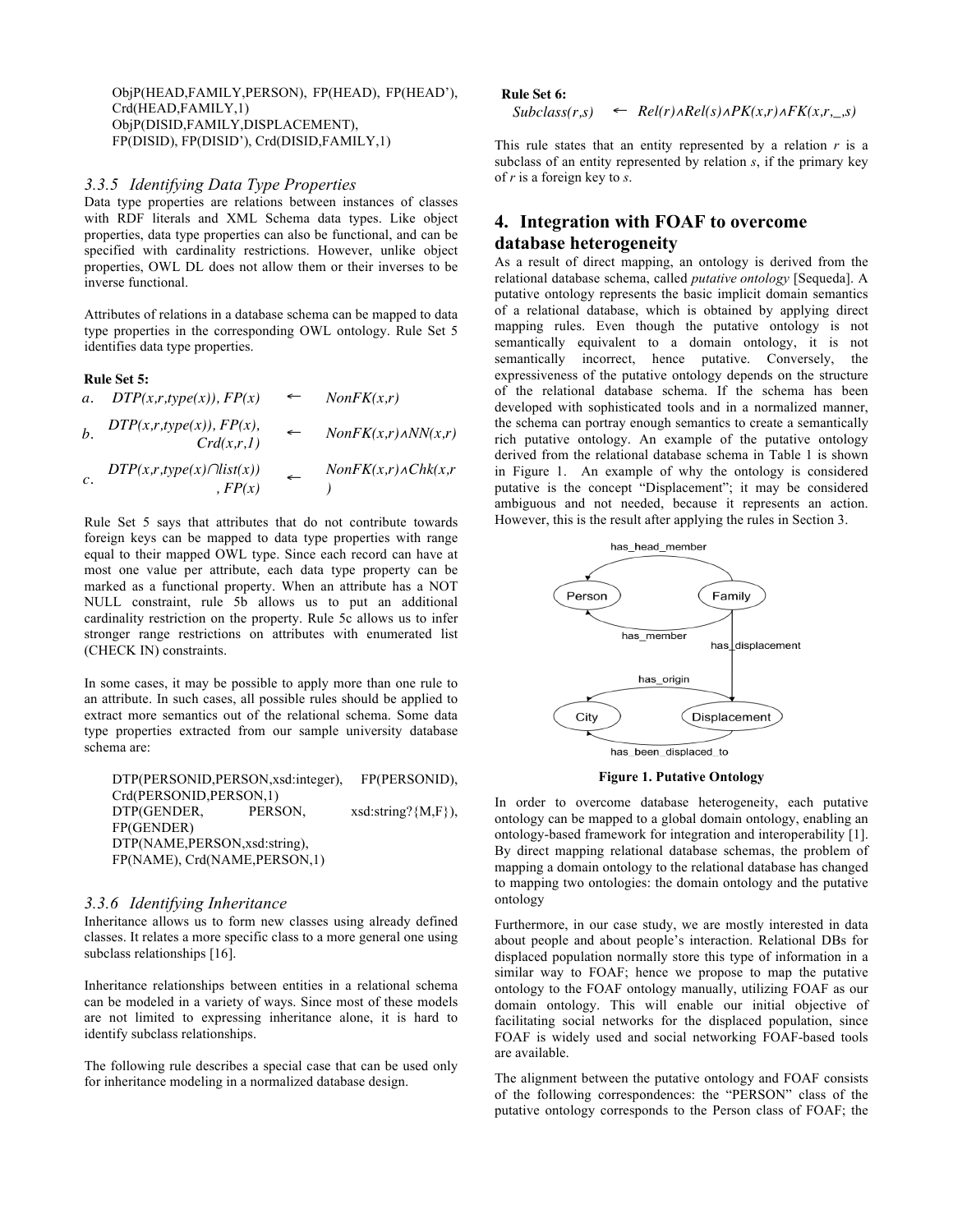ObjP(HEAD,FAMILY,PERSON), FP(HEAD), FP(HEAD'), Crd(HEAD,FAMILY,1) ObjP(DISID,FAMILY,DISPLACEMENT), FP(DISID), FP(DISID'), Crd(DISID,FAMILY,1)

#### *3.3.5 Identifying Data Type Properties*

Data type properties are relations between instances of classes with RDF literals and XML Schema data types. Like object properties, data type properties can also be functional, and can be specified with cardinality restrictions. However, unlike object properties, OWL DL does not allow them or their inverses to be inverse functional.

Attributes of relations in a database schema can be mapped to data type properties in the corresponding OWL ontology. Rule Set 5 identifies data type properties.

#### **Rule Set 5:**

a. 
$$
DTP(x,r, type(x)), FP(x) \leftarrow \text{NonFK}(x,r)
$$
  
\nb.  $DTP(x,r, type(x)), FP(x), \leftarrow \text{NonFK}(x,r) \land NN(x,r)$   
\n $Crd(x,r,1) \leftarrow \text{NonFK}(x,r) \land NN(x,r)$   
\nc.  $DTP(x,r, type(x) \cap list(x)) \leftarrow \text{NonFK}(x,r) \land Chk(x,r)$ 

Rule Set 5 says that attributes that do not contribute towards foreign keys can be mapped to data type properties with range equal to their mapped OWL type. Since each record can have at most one value per attribute, each data type property can be marked as a functional property. When an attribute has a NOT NULL constraint, rule 5b allows us to put an additional cardinality restriction on the property. Rule 5c allows us to infer stronger range restrictions on attributes with enumerated list (CHECK IN) constraints.

In some cases, it may be possible to apply more than one rule to an attribute. In such cases, all possible rules should be applied to extract more semantics out of the relational schema. Some data type properties extracted from our sample university database schema are:

DTP(PERSONID,PERSON,xsd:integer), FP(PERSONID), Crd(PERSONID,PERSON,1) DTP(GENDER, PERSON, xsd:string?{M,F}), FP(GENDER) DTP(NAME,PERSON,xsd:string), FP(NAME), Crd(NAME,PERSON,1)

#### *3.3.6 Identifying Inheritance*

Inheritance allows us to form new classes using already defined classes. It relates a more specific class to a more general one using subclass relationships [16].

Inheritance relationships between entities in a relational schema can be modeled in a variety of ways. Since most of these models are not limited to expressing inheritance alone, it is hard to identify subclass relationships.

The following rule describes a special case that can be used only for inheritance modeling in a normalized database design.

**Rule Set 6:**

#### $Subclass(r,s) \leftarrow Rel(r) \wedge Rel(s) \wedge PK(x,r) \wedge FK(x,r,...,s)$

This rule states that an entity represented by a relation  $r$  is a subclass of an entity represented by relation *s*, if the primary key of *r* is a foreign key to *s*.

# **4. Integration with FOAF to overcome database heterogeneity**

As a result of direct mapping, an ontology is derived from the relational database schema, called *putative ontology* [Sequeda]. A putative ontology represents the basic implicit domain semantics of a relational database, which is obtained by applying direct mapping rules. Even though the putative ontology is not semantically equivalent to a domain ontology, it is not semantically incorrect, hence putative. Conversely, the expressiveness of the putative ontology depends on the structure of the relational database schema. If the schema has been developed with sophisticated tools and in a normalized manner, the schema can portray enough semantics to create a semantically rich putative ontology. An example of the putative ontology derived from the relational database schema in Table 1 is shown in Figure 1. An example of why the ontology is considered putative is the concept "Displacement"; it may be considered ambiguous and not needed, because it represents an action. However, this is the result after applying the rules in Section 3.



**Figure 1. Putative Ontology**

In order to overcome database heterogeneity, each putative ontology can be mapped to a global domain ontology, enabling an ontology-based framework for integration and interoperability [1]. By direct mapping relational database schemas, the problem of mapping a domain ontology to the relational database has changed to mapping two ontologies: the domain ontology and the putative ontology

Furthermore, in our case study, we are mostly interested in data about people and about people's interaction. Relational DBs for displaced population normally store this type of information in a similar way to FOAF; hence we propose to map the putative ontology to the FOAF ontology manually, utilizing FOAF as our domain ontology. This will enable our initial objective of facilitating social networks for the displaced population, since FOAF is widely used and social networking FOAF-based tools are available.

The alignment between the putative ontology and FOAF consists of the following correspondences: the "PERSON" class of the putative ontology corresponds to the Person class of FOAF; the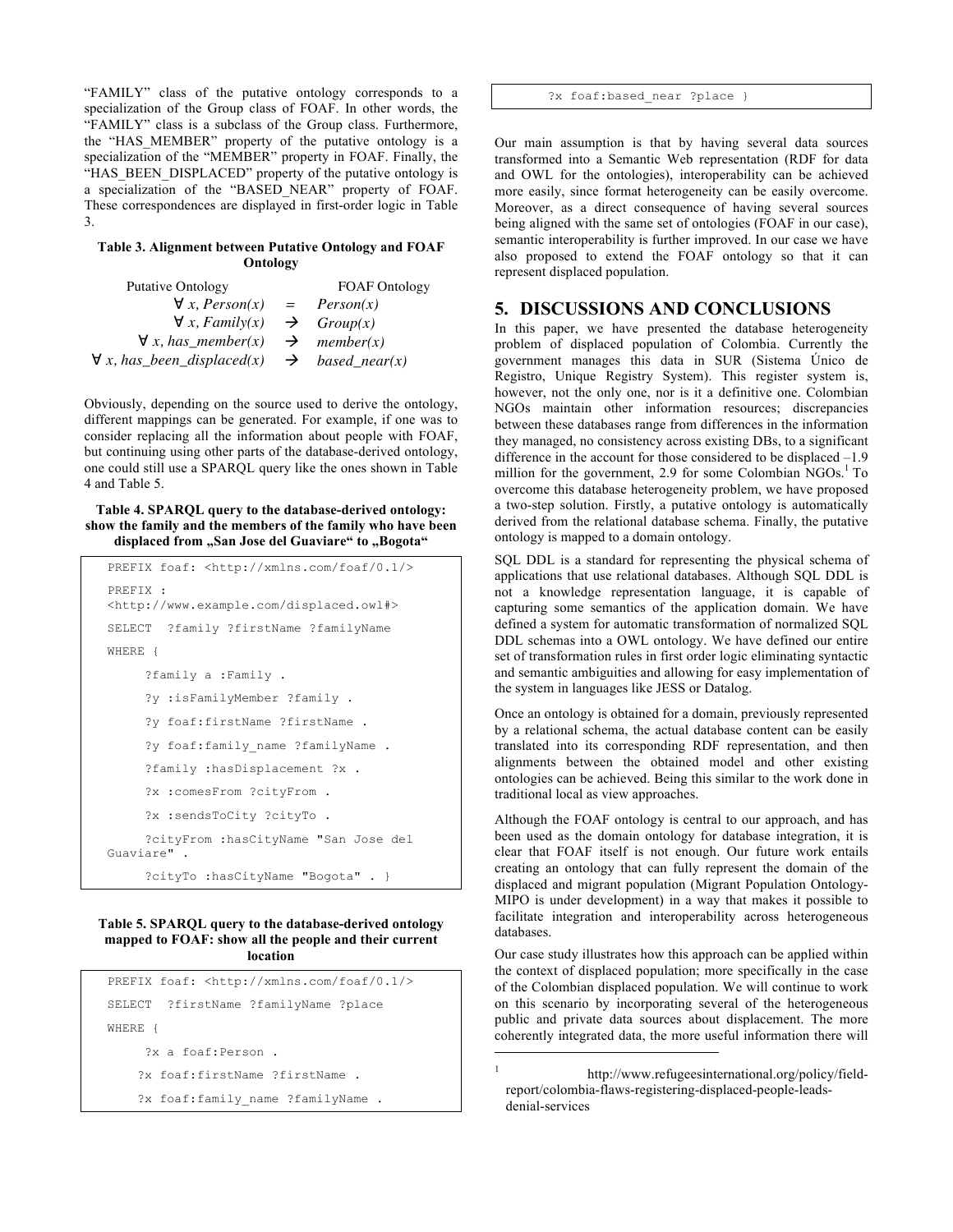"FAMILY" class of the putative ontology corresponds to a specialization of the Group class of FOAF. In other words, the "FAMILY" class is a subclass of the Group class. Furthermore, the "HAS\_MEMBER" property of the putative ontology is a specialization of the "MEMBER" property in FOAF. Finally, the "HAS BEEN DISPLACED" property of the putative ontology is a specialization of the "BASED\_NEAR" property of FOAF. These correspondences are displayed in first-order logic in Table 3.

#### **Table 3. Alignment between Putative Ontology and FOAF Ontology**

| <b>Putative Ontology</b>                         | <b>FOAF</b> Ontology    |
|--------------------------------------------------|-------------------------|
| $\forall x, Person(x) =$                         | Person(x)               |
| $\forall x$ , Family(x)                          | $\rightarrow$ Group(x)  |
| $\forall x, has member(x)$                       | $\rightarrow$ member(x) |
| $\forall x, has\_been\_displaced(x) \rightarrow$ | $based\_near(x)$        |

Obviously, depending on the source used to derive the ontology, different mappings can be generated. For example, if one was to consider replacing all the information about people with FOAF, but continuing using other parts of the database-derived ontology, one could still use a SPARQL query like the ones shown in Table 4 and Table 5.

**Table 4. SPARQL query to the database-derived ontology: show the family and the members of the family who have been**  displaced from "San Jose del Guaviare" to "Bogota"

```
PREFIX foaf: <http://xmlns.com/foaf/0.1/>
PREFIX : 
<http://www.example.com/displaced.owl#>
SELECT ?family ?firstName ?familyName
WHERE {
      ?family a :Family .
      ?y :isFamilyMember ?family .
      ?y foaf:firstName ?firstName .
     ?y foaf:family name ?familyName .
      ?family :hasDisplacement ?x .
      ?x :comesFrom ?cityFrom .
      ?x :sendsToCity ?cityTo .
      ?cityFrom :hasCityName "San Jose del 
Guaviare" . 
      ?cityTo :hasCityName "Bogota" . }
```
#### **Table 5. SPARQL query to the database-derived ontology mapped to FOAF: show all the people and their current location**

```
PREFIX foaf: <http://xmlns.com/foaf/0.1/>
SELECT ?firstName ?familyName ?place
WHERE {
      ?x a foaf:Person .
     ?x foaf:firstName ?firstName .
    ?x foaf:family name ?familyName .
```
?x foaf:based near ?place }

Our main assumption is that by having several data sources transformed into a Semantic Web representation (RDF for data and OWL for the ontologies), interoperability can be achieved more easily, since format heterogeneity can be easily overcome. Moreover, as a direct consequence of having several sources being aligned with the same set of ontologies (FOAF in our case), semantic interoperability is further improved. In our case we have also proposed to extend the FOAF ontology so that it can represent displaced population.

# **5. DISCUSSIONS AND CONCLUSIONS**

In this paper, we have presented the database heterogeneity problem of displaced population of Colombia. Currently the government manages this data in SUR (Sistema Único de Registro, Unique Registry System). This register system is, however, not the only one, nor is it a definitive one. Colombian NGOs maintain other information resources; discrepancies between these databases range from differences in the information they managed, no consistency across existing DBs, to a significant difference in the account for those considered to be displaced –1.9 million for the government, 2.9 for some Colombian NGOs.<sup>1</sup> To overcome this database heterogeneity problem, we have proposed a two-step solution. Firstly, a putative ontology is automatically derived from the relational database schema. Finally, the putative ontology is mapped to a domain ontology.

SQL DDL is a standard for representing the physical schema of applications that use relational databases. Although SQL DDL is not a knowledge representation language, it is capable of capturing some semantics of the application domain. We have defined a system for automatic transformation of normalized SQL DDL schemas into a OWL ontology. We have defined our entire set of transformation rules in first order logic eliminating syntactic and semantic ambiguities and allowing for easy implementation of the system in languages like JESS or Datalog.

Once an ontology is obtained for a domain, previously represented by a relational schema, the actual database content can be easily translated into its corresponding RDF representation, and then alignments between the obtained model and other existing ontologies can be achieved. Being this similar to the work done in traditional local as view approaches.

Although the FOAF ontology is central to our approach, and has been used as the domain ontology for database integration, it is clear that FOAF itself is not enough. Our future work entails creating an ontology that can fully represent the domain of the displaced and migrant population (Migrant Population Ontology-MIPO is under development) in a way that makes it possible to facilitate integration and interoperability across heterogeneous databases.

Our case study illustrates how this approach can be applied within the context of displaced population; more specifically in the case of the Colombian displaced population. We will continue to work on this scenario by incorporating several of the heterogeneous public and private data sources about displacement. The more coherently integrated data, the more useful information there will

-

<sup>1</sup> http://www.refugeesinternational.org/policy/fieldreport/colombia-flaws-registering-displaced-people-leadsdenial-services